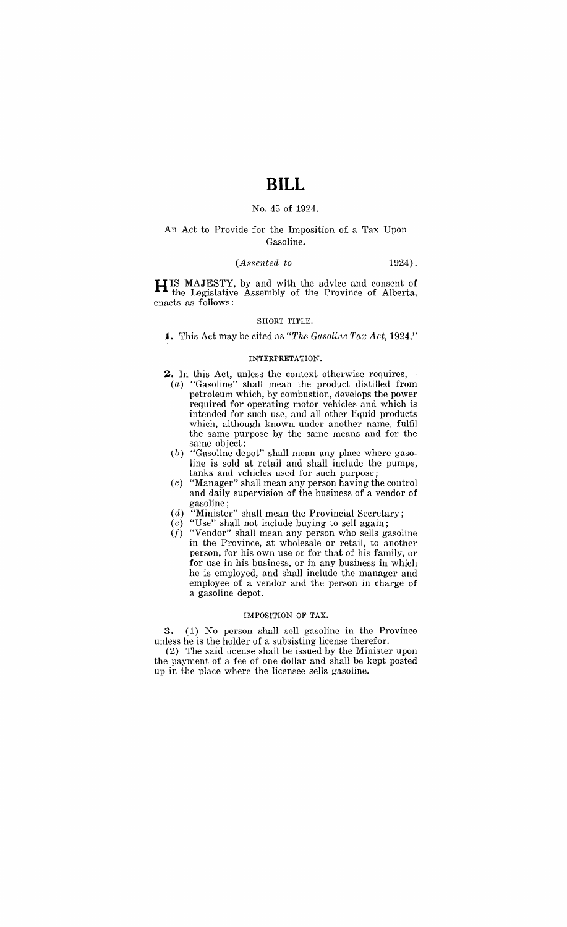# **BILL**

### No. 45 of 1924.

### An Act to Provide for the Imposition of a Tax Upon Gasoline.

#### *(Assented to* 1924) .

H IS MAJESTY, by and with the advice and consent of the Legislative Assembly of the Province of Alberta, enacts as follows:

#### SHORT TITLE.

**1.** 'rhis Act may be cited as *"The Gasoline Tax Act, 1924."* 

#### INTERPRETATION.

2. In this Act, unless the context otherwise requires,-(a) "Gasoline" shall mean the product distilled from

- petroleum which, by combustion, develops the power required for operating motor vehicles and which is intended for such use, and all other liquid products which, although known. under another name, fulfil the same purpose by the same means and for the same object;
- $(b)$  "Gasoline depot" shall mean any place where gasoline is sold at retail and shall include the pumps, tanks and vehicles used for such purpose;
- (c) "Manager" shall mean any person having the control and daily supervision of the business of a vendor of gasoline;
- (d) "Minister" shall mean the Provincial Secretary;
- $(e)$  "Use" shall not include buying to sell again;
- $(f)$  "Vendor" shall mean any person who sells gasoline in the Province, at wholesale or retail, to another person, for his own use or for that of his family, or for use in his business, or in any business in which he is employed, and shall include the manager and employee of a vendor and the person in charge of a gasoline depot.

#### IMPOSITION OF TAX.

 $3-$ (1) No person shall sell gasoline in the Province unless he is the holder of a subsisting license therefor.

(2) The said license shall be issued by the Minister upon the payment of a fee of one dollar and shall be kept posted up in the place where the licensee sells gasoline.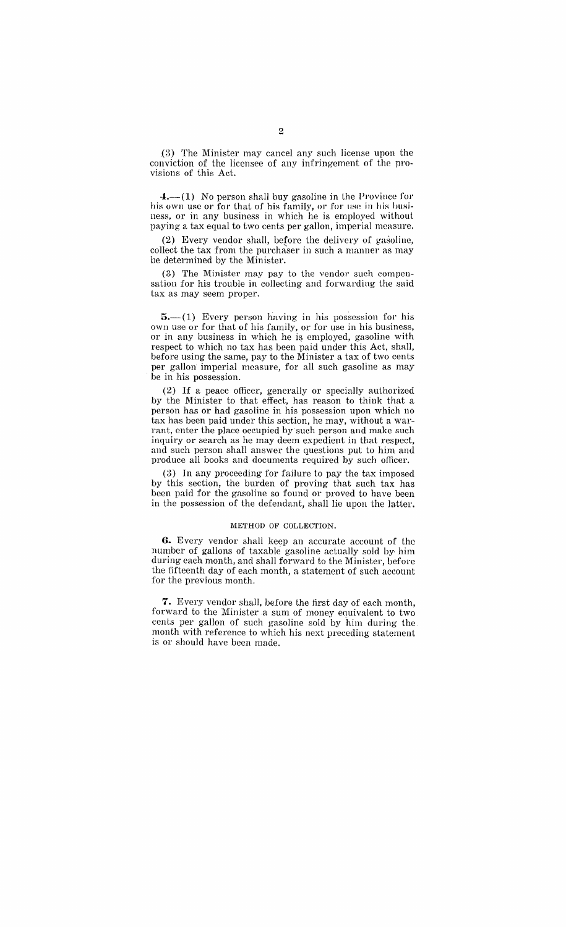$(3)$  The Minister may cancel any such license upon the conviction of the licensee of any infringement of the provisions of this Act.

 $4.$ —(1) No person shall buy gasoline in the Province for his own use or for that of his family, or for use in his business, or in any business in which he is employed without paying a tax equal to two cents per gallon, imperial measure.

(2) Every vendor shall, before the delivery of gasoline, collect the tax from the purchaser in such a manner as may be determined by the Minister.

(3) The Minister may pay to the vendor such compensation for his trouble in collecting and forwarding the said tax as may seem proper.

 $5-(1)$  Every person having in his possession for his own use or for that of his family, or for use in his business, or in any business in which he is employed, gasoline with respect to which no tax has been paid under this Act, shall, before using the same, pay to the Minister a tax of two cents per gallon imperial measure, for all such gasoline as may be in his possession.

(2) If a peace officer, generally or specially authorized by the Minister to that effect, has reason to think that a person has or had gasoline in his possession upon which no tax has been paid under this section, he may, without a warrant, enter the place occupied by such person and make such inquiry or search as he may deem expedient in that respect, and such person shall answer the questions put to him and produce all books and documents required by such officer.

(3) In any proceeding for failure to pay the tax imposed by this section, the burden of proving that such tax has been paid for the gasoline so found or proved to have been in the possession of the defendant, shall lie upon the latter.

#### METHOD OF COLLECTION.

**6.** Every vendor shall keep an accurate account of the number of gallons of taxable gasoline actually sold by him during each month, and shall forward to the Minister, before the fifteenth day of each month, a statement of such account for the previous month.

**7.** Every vendor shall, before the first day of each month, forward to the Minister a sum of money equivalent to two cents per gallon of such gasoline sold by him during the. month with reference to which his next preceding statement is or should have been made.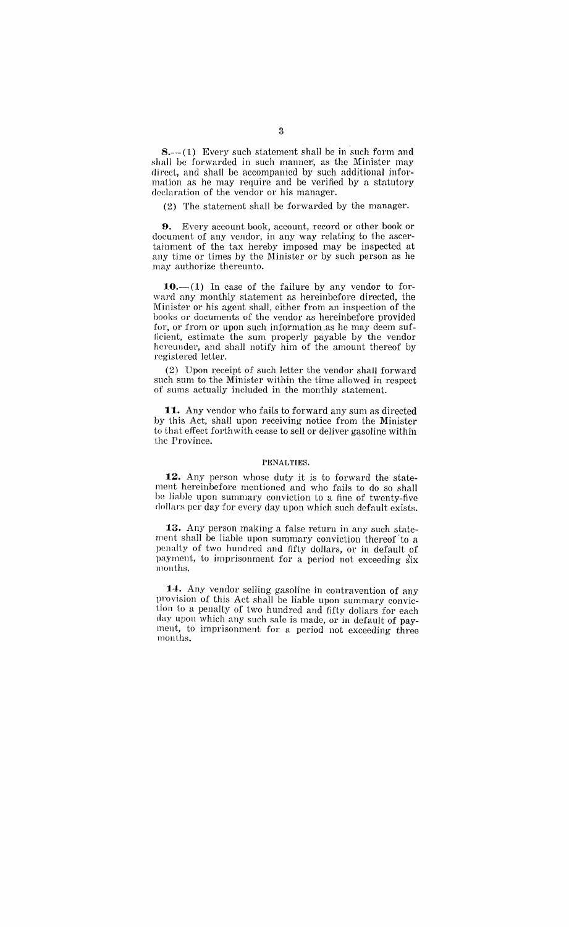$8 - (1)$  Every such statement shall be in such form and shall be forwarded in such manner, as the Minister may direct, and shall be accompanied by such additional information as he may require and be verified by a statutory declaration of the vendor or his manager.

(2) The statement shall be forwarded by the manager.

**9.** Every account book, account, record or other book or document of any vendor, in any way relating to the ascertainment of the tax hereby imposed may be inspected at any time or times by the Minister or by such person as he may authorize thereunto.

10. $-(1)$  In case of the failure by any vendor to forward any monthly statement as hereinbefore directed, the Minister or his agent shall, either from an inspection of the books or documents of the vendor as hereinbefore provided for, or from or upon such information as he may deem sufficient, estimate the sum properly payable by the vendor hereunder, and shall notify him of the amount thereof by registered letter.

(2) Upon receipt of such letter the vendor shall forward such sum to the Minister within the time allowed in respect of sums actually included in the monthly statement.

**11.** Any vendor who fails to forward any sum as directed by this Act, shall upon receiving notice from the Minister to that effect forthwith cease to sell or deliver gasoline within the Province.

#### PENALTIES.

**12.** Any person whose duty it is to forward the statement hereinbefore mentioned and who fails to do so shall be liable upon summary conviction to a fine of twenty-five dollars per day for every day upon which such default exists.

**13.** Any person making a false return in any such statement shall be liable upon summary conviction thereof' to a penalty of two hundred and fifty dollars, or in default of payment, to imprisonment for a period not exceeding six months.

**14.** Any vendor selling gasoline in contravention of any provision of this Act shall be liable upon summary conviction to a penalty of two hundred and fifty dollars for each clay upon which any such sale is made, or in default of payment, to imprisonment for a period not exceeding three months.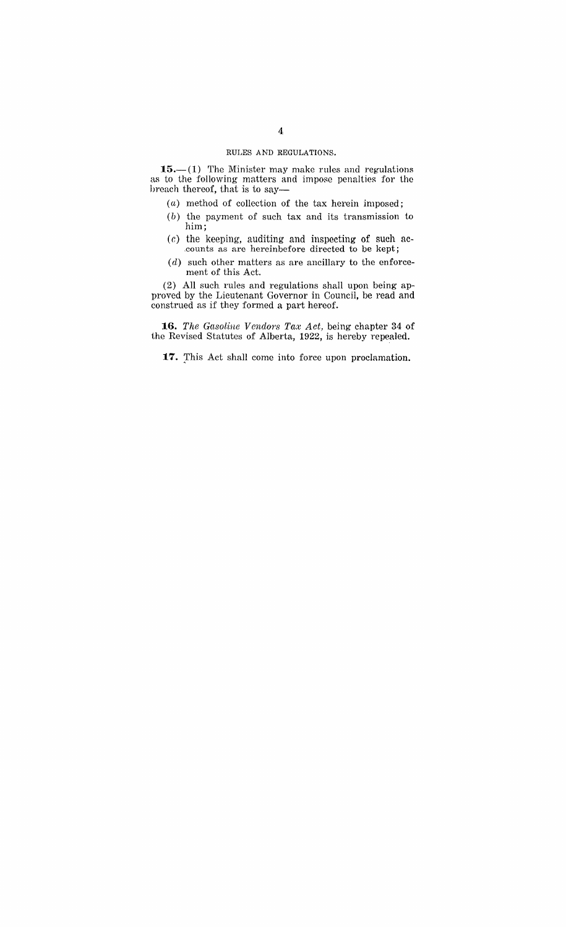#### RULES AND REGULATIONS.

**15.**—(1) The Minister may make rules and regulations as to the following matters and impose penalties for the breach thereof, that is to say--

- (a) method of collection of the tax herein imposed;
- (b) the payment of such tax and its transmission to him;
- $(c)$  the keeping, auditing and inspecting of such ac-,counts as are hereinbefore directed to be kept;
- $(d)$  such other matters as are ancillary to the enforcement of this Act.

(2) All such rules and regulations shall upon being approved by the Lieutenant Governor in Council, be read and construed as if they formed a part hereof.

16. *The Gasoline Vendors Tax Act*, being chapter 34 of the Revised Statutes of Alberta, 1922, is hereby repealed.

**17.** Ihis Act shall come into force upon proclamation.